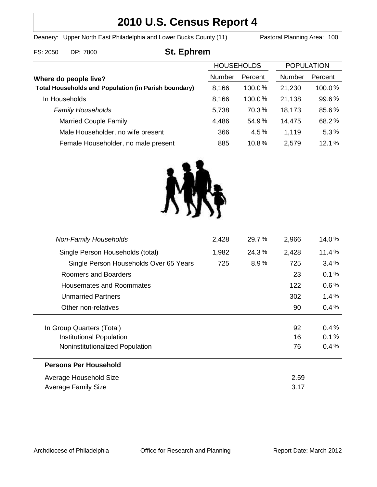# **2010 U.S. Census Report 4**

Deanery: Upper North East Philadelphia and Lower Bucks County (11) Pastoral Planning Area: 100

# FS: 2050 DP: 7800 **St. Ephrem**

|                                                             | <b>HOUSEHOLDS</b> |         | <b>POPULATION</b> |         |
|-------------------------------------------------------------|-------------------|---------|-------------------|---------|
| Where do people live?                                       | Number            | Percent | Number            | Percent |
| <b>Total Households and Population (in Parish boundary)</b> | 8,166             | 100.0%  | 21,230            | 100.0%  |
| In Households                                               | 8,166             | 100.0%  | 21,138            | 99.6%   |
| <b>Family Households</b>                                    | 5,738             | 70.3%   | 18,173            | 85.6%   |
| <b>Married Couple Family</b>                                | 4,486             | 54.9%   | 14,475            | 68.2%   |
| Male Householder, no wife present                           | 366               | 4.5%    | 1,119             | 5.3%    |
| Female Householder, no male present                         | 885               | 10.8%   | 2,579             | 12.1%   |



| <b>Non-Family Households</b>           | 2,428 | 29.7% | 2,966 | 14.0%   |
|----------------------------------------|-------|-------|-------|---------|
| Single Person Households (total)       | 1,982 | 24.3% | 2,428 | 11.4%   |
| Single Person Households Over 65 Years | 725   | 8.9%  | 725   | 3.4%    |
| Roomers and Boarders                   |       |       | 23    | 0.1%    |
| Housemates and Roommates               |       |       | 122   | $0.6\%$ |
| <b>Unmarried Partners</b>              |       |       | 302   | $1.4\%$ |
| Other non-relatives                    |       |       | 90    | 0.4%    |
|                                        |       |       |       |         |
| In Group Quarters (Total)              |       |       | 92    | 0.4%    |
| Institutional Population               |       |       | 16    | 0.1%    |
| Noninstitutionalized Population        |       |       | 76    | 0.4%    |
| <b>Persons Per Household</b>           |       |       |       |         |
| Average Household Size                 |       |       | 2.59  |         |
| Average Family Size                    |       |       | 3.17  |         |
|                                        |       |       |       |         |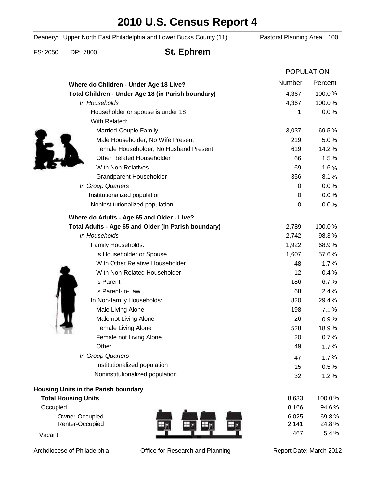# **2010 U.S. Census Report 4**

Deanery: Upper North East Philadelphia and Lower Bucks County (11) Pastoral Planning Area: 100

FS: 2050 DP: 7800 **St. Ephrem**

|                                                      |                | <b>POPULATION</b> |  |
|------------------------------------------------------|----------------|-------------------|--|
| Where do Children - Under Age 18 Live?               | Number         | Percent           |  |
| Total Children - Under Age 18 (in Parish boundary)   | 4,367          | 100.0%            |  |
| In Households                                        | 4,367          | 100.0%            |  |
| Householder or spouse is under 18                    | 1              | 0.0%              |  |
| With Related:                                        |                |                   |  |
| Married-Couple Family                                | 3,037          | 69.5%             |  |
| Male Householder, No Wife Present                    | 219            | 5.0%              |  |
| Female Householder, No Husband Present               | 619            | 14.2%             |  |
| <b>Other Related Householder</b>                     | 66             | 1.5%              |  |
| <b>With Non-Relatives</b>                            | 69             | 1.6%              |  |
| <b>Grandparent Householder</b>                       | 356            | 8.1%              |  |
| In Group Quarters                                    | 0              | 0.0%              |  |
| Institutionalized population                         | 0              | 0.0%              |  |
| Noninstitutionalized population                      | 0              | 0.0%              |  |
| Where do Adults - Age 65 and Older - Live?           |                |                   |  |
| Total Adults - Age 65 and Older (in Parish boundary) | 2,789          | 100.0%            |  |
| In Households                                        | 2,742          | 98.3%             |  |
| Family Households:                                   | 1,922          | 68.9%             |  |
| Is Householder or Spouse                             | 1,607          | 57.6%             |  |
| With Other Relative Householder                      | 48             | 1.7%              |  |
| With Non-Related Householder                         | 12             | 0.4%              |  |
| is Parent                                            | 186            | 6.7%              |  |
| is Parent-in-Law                                     | 68             | 2.4%              |  |
| In Non-family Households:                            | 820            | 29.4%             |  |
| Male Living Alone                                    | 198            | 7.1%              |  |
| Male not Living Alone                                | 26             | $0.9\%$           |  |
| Female Living Alone                                  | 528            | 18.9%             |  |
| Female not Living Alone                              | 20             | 0.7%              |  |
| Other                                                | 49             | 1.7%              |  |
| In Group Quarters                                    | 47             | 1.7%              |  |
| Institutionalized population                         | 15             | 0.5%              |  |
| Noninstitutionalized population                      | 32             | 1.2%              |  |
| Housing Units in the Parish boundary                 |                |                   |  |
| <b>Total Housing Units</b>                           | 8,633          | 100.0%            |  |
| Occupied                                             | 8,166          | 94.6%             |  |
| Owner-Occupied<br>Renter-Occupied                    | 6,025<br>2,141 | 69.8%<br>24.8%    |  |
| Vacant                                               | 467            | 5.4%              |  |
|                                                      |                |                   |  |

Archdiocese of Philadelphia **Office for Research and Planning** Report Date: March 2012